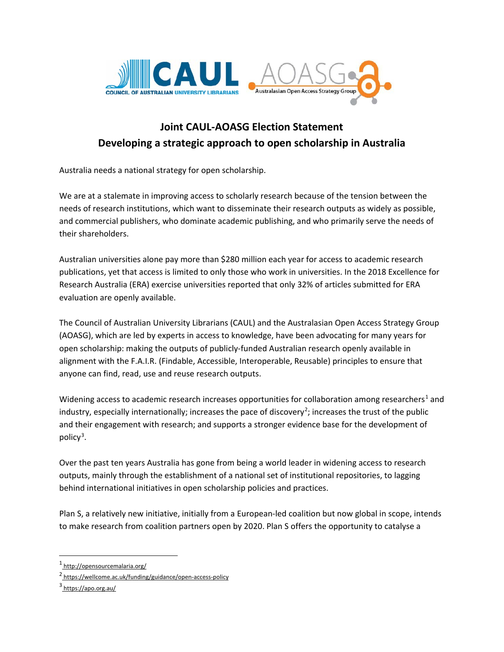

## **Joint CAUL-AOASG Election Statement Developing a strategic approach to open scholarship in Australia**

Australia needs a national strategy for open scholarship.

We are at a stalemate in improving access to scholarly research because of the tension between the needs of research institutions, which want to disseminate their research outputs as widely as possible, and commercial publishers, who dominate academic publishing, and who primarily serve the needs of their shareholders.

Australian universities alone pay more than \$280 million each year for access to academic research publications, yet that access is limited to only those who work in universities. In the 2018 Excellence for Research Australia (ERA) exercise universities reported that only 32% of articles submitted for ERA evaluation are openly available.

The Council of Australian University Librarians (CAUL) and the Australasian Open Access Strategy Group (AOASG), which are led by experts in access to knowledge, have been advocating for many years for open scholarship: making the outputs of publicly-funded Australian research openly available in alignment with the F.A.I.R. (Findable, Accessible, Interoperable, Reusable) principles to ensure that anyone can find, read, use and reuse research outputs.

Widening access to academic research increases opportunities for collaboration among researchers<sup>[1](#page-0-0)</sup> and industry, especially internationally; increases the pace of discovery<sup>[2](#page-0-1)</sup>; increases the trust of the public and their engagement with research; and supports a stronger evidence base for the development of policy<sup>[3](#page-0-2)</sup>.

Over the past ten years Australia has gone from being a world leader in widening access to research outputs, mainly through the establishment of a national set of institutional repositories, to lagging behind international initiatives in open scholarship policies and practices.

Plan S, a relatively new initiative, initially from a European-led coalition but now global in scope, intends to make research from coalition partners open by 2020. Plan S offers the opportunity to catalyse a

 $\overline{a}$ 

<span id="page-0-0"></span><sup>1</sup> <http://opensourcemalaria.org/>

<span id="page-0-1"></span><sup>2</sup> <https://wellcome.ac.uk/funding/guidance/open-access-policy>

<span id="page-0-2"></span> $3$  <https://apo.org.au/>